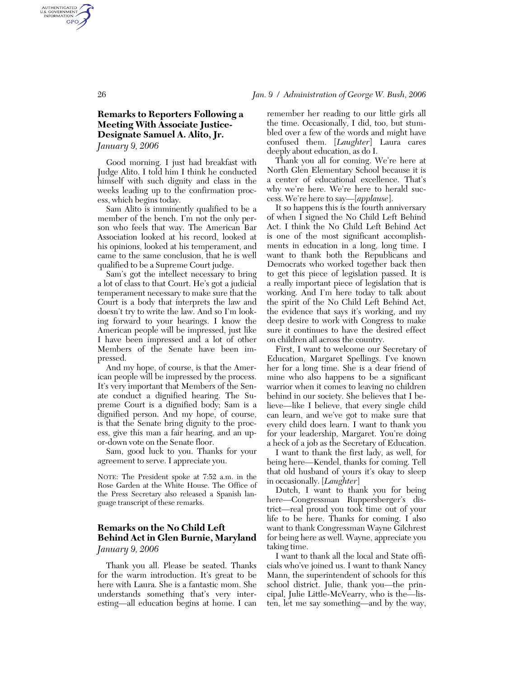## **Remarks to Reporters Following a Meeting With Associate Justice-Designate Samuel A. Alito, Jr.**  *January 9, 2006*

Good morning. I just had breakfast with Judge Alito. I told him I think he conducted himself with such dignity and class in the weeks leading up to the confirmation process, which begins today.

Sam Alito is imminently qualified to be a member of the bench. I'm not the only person who feels that way. The American Bar Association looked at his record, looked at his opinions, looked at his temperament, and came to the same conclusion, that he is well qualified to be a Supreme Court judge.

Sam's got the intellect necessary to bring a lot of class to that Court. He's got a judicial temperament necessary to make sure that the Court is a body that interprets the law and doesn't try to write the law. And so I'm looking forward to your hearings. I know the American people will be impressed, just like I have been impressed and a lot of other Members of the Senate have been impressed.

And my hope, of course, is that the American people will be impressed by the process. It's very important that Members of the Senate conduct a dignified hearing. The Supreme Court is a dignified body; Sam is a dignified person. And my hope, of course, is that the Senate bring dignity to the process, give this man a fair hearing, and an upor-down vote on the Senate floor.

Sam, good luck to you. Thanks for your agreement to serve. I appreciate you.

NOTE: The President spoke at 7:52 a.m. in the Rose Garden at the White House. The Office of the Press Secretary also released a Spanish language transcript of these remarks.

# **Remarks on the No Child Left Behind Act in Glen Burnie, Maryland**  *January 9, 2006*

Thank you all. Please be seated. Thanks for the warm introduction. It's great to be here with Laura. She is a fantastic mom. She understands something that's very interesting—all education begins at home. I can

remember her reading to our little girls all the time. Occasionally, I did, too, but stumbled over a few of the words and might have confused them. [*Laughter*] Laura cares deeply about education, as do I.

Thank you all for coming. We're here at North Glen Elementary School because it is a center of educational excellence. That's why we're here. We're here to herald success. We're here to say—[*applause*].

It so happens this is the fourth anniversary of when I signed the No Child Left Behind Act. I think the No Child Left Behind Act is one of the most significant accomplishments in education in a long, long time. I want to thank both the Republicans and Democrats who worked together back then to get this piece of legislation passed. It is a really important piece of legislation that is working. And I'm here today to talk about the spirit of the No Child Left Behind Act, the evidence that says it's working, and my deep desire to work with Congress to make sure it continues to have the desired effect on children all across the country.

First, I want to welcome our Secretary of Education, Margaret Spellings. I've known her for a long time. She is a dear friend of mine who also happens to be a significant warrior when it comes to leaving no children behind in our society. She believes that I believe—like I believe, that every single child can learn, and we've got to make sure that every child does learn. I want to thank you for your leadership, Margaret. You're doing a heck of a job as the Secretary of Education.

I want to thank the first lady, as well, for being here—Kendel, thanks for coming. Tell that old husband of yours it's okay to sleep in occasionally. [*Laughter*]

Dutch, I want to thank you for being here—Congressman Ruppersberger's district—real proud you took time out of your life to be here. Thanks for coming. I also want to thank Congressman Wayne Gilchrest for being here as well. Wayne, appreciate you taking time.

I want to thank all the local and State officials who've joined us. I want to thank Nancy Mann, the superintendent of schools for this school district. Julie, thank you—the principal, Julie Little-McVearry, who is the—listen, let me say something—and by the way,

AUTHENTICATED<br>U.S. GOVERNMENT<br>INFORMATION **GPO**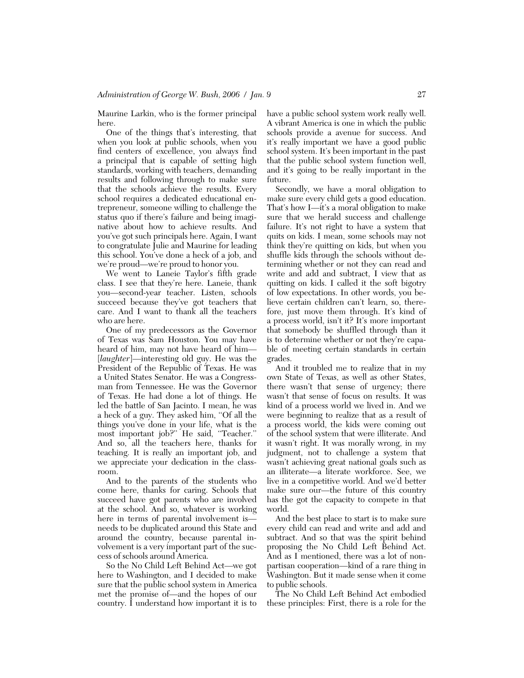Maurine Larkin, who is the former principal here.

One of the things that's interesting, that when you look at public schools, when you find centers of excellence, you always find a principal that is capable of setting high standards, working with teachers, demanding results and following through to make sure that the schools achieve the results. Every school requires a dedicated educational entrepreneur, someone willing to challenge the status quo if there's failure and being imaginative about how to achieve results. And you've got such principals here. Again, I want to congratulate Julie and Maurine for leading this school. You've done a heck of a job, and we're proud—we're proud to honor you.

We went to Laneie Taylor's fifth grade class. I see that they're here. Laneie, thank you—second-year teacher. Listen, schools succeed because they've got teachers that care. And I want to thank all the teachers who are here.

One of my predecessors as the Governor of Texas was Sam Houston. You may have heard of him, may not have heard of him— [*laughter*]—interesting old guy. He was the President of the Republic of Texas. He was a United States Senator. He was a Congressman from Tennessee. He was the Governor of Texas. He had done a lot of things. He led the battle of San Jacinto. I mean, he was a heck of a guy. They asked him, ''Of all the things you've done in your life, what is the most important job?'' He said, ''Teacher.'' And so, all the teachers here, thanks for teaching. It is really an important job, and we appreciate your dedication in the classroom.

And to the parents of the students who come here, thanks for caring. Schools that succeed have got parents who are involved at the school. And so, whatever is working here in terms of parental involvement is needs to be duplicated around this State and around the country, because parental involvement is a very important part of the success of schools around America.

So the No Child Left Behind Act—we got here to Washington, and I decided to make sure that the public school system in America met the promise of—and the hopes of our country. I understand how important it is to

have a public school system work really well. A vibrant America is one in which the public schools provide a avenue for success. And it's really important we have a good public school system. It's been important in the past that the public school system function well, and it's going to be really important in the future.

Secondly, we have a moral obligation to make sure every child gets a good education. That's how I—it's a moral obligation to make sure that we herald success and challenge failure. It's not right to have a system that quits on kids. I mean, some schools may not think they're quitting on kids, but when you shuffle kids through the schools without determining whether or not they can read and write and add and subtract, I view that as quitting on kids. I called it the soft bigotry of low expectations. In other words, you believe certain children can't learn, so, therefore, just move them through. It's kind of a process world, isn't it? It's more important that somebody be shuffled through than it is to determine whether or not they're capable of meeting certain standards in certain grades.

And it troubled me to realize that in my own State of Texas, as well as other States, there wasn't that sense of urgency; there wasn't that sense of focus on results. It was kind of a process world we lived in. And we were beginning to realize that as a result of a process world, the kids were coming out of the school system that were illiterate. And it wasn't right. It was morally wrong, in my judgment, not to challenge a system that wasn't achieving great national goals such as an illiterate—a literate workforce. See, we live in a competitive world. And we'd better make sure our—the future of this country has the got the capacity to compete in that world.

And the best place to start is to make sure every child can read and write and add and subtract. And so that was the spirit behind proposing the No Child Left Behind Act. And as I mentioned, there was a lot of nonpartisan cooperation—kind of a rare thing in Washington. But it made sense when it come to public schools.

The No Child Left Behind Act embodied these principles: First, there is a role for the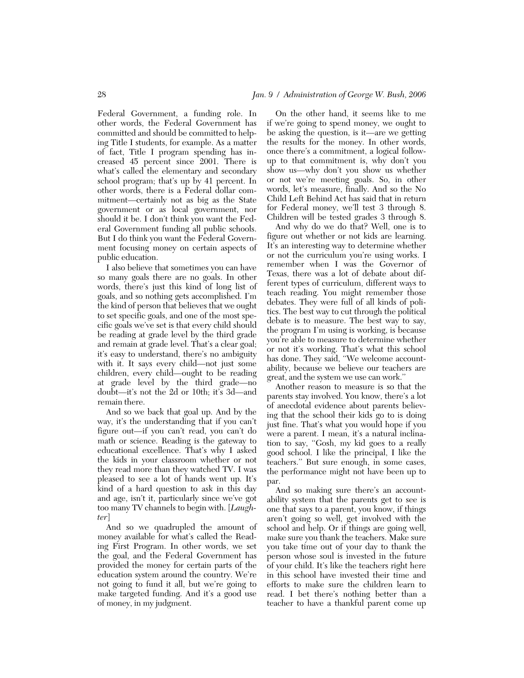Federal Government, a funding role. In other words, the Federal Government has committed and should be committed to helping Title I students, for example. As a matter of fact, Title I program spending has increased 45 percent since 2001. There is what's called the elementary and secondary school program; that's up by 41 percent. In other words, there is a Federal dollar commitment—certainly not as big as the State government or as local government, nor should it be. I don't think you want the Federal Government funding all public schools. But I do think you want the Federal Government focusing money on certain aspects of public education.

I also believe that sometimes you can have so many goals there are no goals. In other words, there's just this kind of long list of goals, and so nothing gets accomplished. I'm the kind of person that believes that we ought to set specific goals, and one of the most specific goals we've set is that every child should be reading at grade level by the third grade and remain at grade level. That's a clear goal; it's easy to understand, there's no ambiguity with it. It says every child—not just some children, every child—ought to be reading at grade level by the third grade—no doubt—it's not the 2d or 10th; it's 3d—and remain there.

And so we back that goal up. And by the way, it's the understanding that if you can't figure out—if you can't read, you can't do math or science. Reading is the gateway to educational excellence. That's why I asked the kids in your classroom whether or not they read more than they watched TV. I was pleased to see a lot of hands went up. It's kind of a hard question to ask in this day and age, isn't it, particularly since we've got too many TV channels to begin with. [*Laughter*]

And so we quadrupled the amount of money available for what's called the Reading First Program. In other words, we set the goal, and the Federal Government has provided the money for certain parts of the education system around the country. We're not going to fund it all, but we're going to make targeted funding. And it's a good use of money, in my judgment.

On the other hand, it seems like to me if we're going to spend money, we ought to be asking the question, is it—are we getting the results for the money. In other words, once there's a commitment, a logical followup to that commitment is, why don't you show us—why don't you show us whether or not we're meeting goals. So, in other words, let's measure, finally. And so the No Child Left Behind Act has said that in return for Federal money, we'll test 3 through 8. Children will be tested grades 3 through 8.

And why do we do that? Well, one is to figure out whether or not kids are learning. It's an interesting way to determine whether or not the curriculum you're using works. I remember when I was the Governor of Texas, there was a lot of debate about different types of curriculum, different ways to teach reading. You might remember those debates. They were full of all kinds of politics. The best way to cut through the political debate is to measure. The best way to say, the program I'm using is working, is because you're able to measure to determine whether or not it's working. That's what this school has done. They said, "We welcome accountability, because we believe our teachers are great, and the system we use can work.''

Another reason to measure is so that the parents stay involved. You know, there's a lot of anecdotal evidence about parents believing that the school their kids go to is doing just fine. That's what you would hope if you were a parent. I mean, it's a natural inclination to say, ''Gosh, my kid goes to a really good school. I like the principal, I like the teachers.'' But sure enough, in some cases, the performance might not have been up to par.

And so making sure there's an accountability system that the parents get to see is one that says to a parent, you know, if things aren't going so well, get involved with the school and help. Or if things are going well, make sure you thank the teachers. Make sure you take time out of your day to thank the person whose soul is invested in the future of your child. It's like the teachers right here in this school have invested their time and efforts to make sure the children learn to read. I bet there's nothing better than a teacher to have a thankful parent come up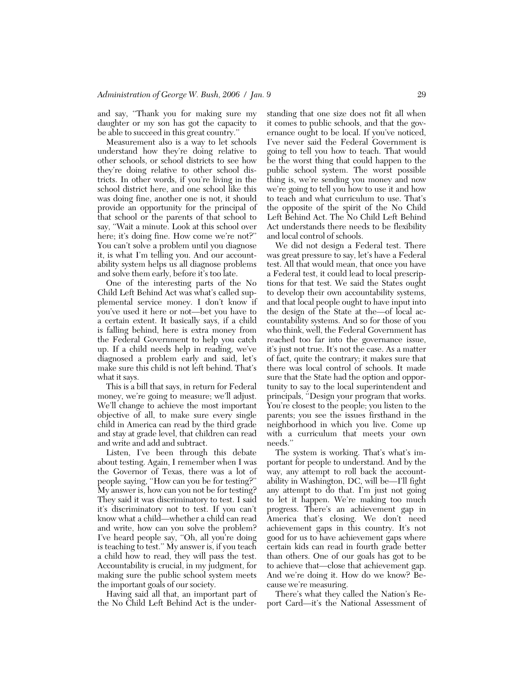and say, ''Thank you for making sure my daughter or my son has got the capacity to be able to succeed in this great country.''

Measurement also is a way to let schools understand how they're doing relative to other schools, or school districts to see how they're doing relative to other school districts. In other words, if you're living in the school district here, and one school like this was doing fine, another one is not, it should provide an opportunity for the principal of that school or the parents of that school to say, ''Wait a minute. Look at this school over here; it's doing fine. How come we're not?" You can't solve a problem until you diagnose it, is what I'm telling you. And our accountability system helps us all diagnose problems and solve them early, before it's too late.

One of the interesting parts of the No Child Left Behind Act was what's called supplemental service money. I don't know if you've used it here or not—bet you have to a certain extent. It basically says, if a child is falling behind, here is extra money from the Federal Government to help you catch up. If a child needs help in reading, we've diagnosed a problem early and said, let's make sure this child is not left behind. That's what it says.

This is a bill that says, in return for Federal money, we're going to measure; we'll adjust. We'll change to achieve the most important objective of all, to make sure every single child in America can read by the third grade and stay at grade level, that children can read and write and add and subtract.

Listen, I've been through this debate about testing. Again, I remember when I was the Governor of Texas, there was a lot of people saying, ''How can you be for testing?'' My answer is, how can you not be for testing? They said it was discriminatory to test. I said it's discriminatory not to test. If you can't know what a child—whether a child can read and write, how can you solve the problem? I've heard people say, ''Oh, all you're doing is teaching to test.'' My answer is, if you teach a child how to read, they will pass the test. Accountability is crucial, in my judgment, for making sure the public school system meets the important goals of our society.

Having said all that, an important part of the No Child Left Behind Act is the understanding that one size does not fit all when it comes to public schools, and that the governance ought to be local. If you've noticed, I've never said the Federal Government is going to tell you how to teach. That would be the worst thing that could happen to the public school system. The worst possible thing is, we're sending you money and now we're going to tell you how to use it and how to teach and what curriculum to use. That's the opposite of the spirit of the No Child Left Behind Act. The No Child Left Behind Act understands there needs to be flexibility and local control of schools.

We did not design a Federal test. There was great pressure to say, let's have a Federal test. All that would mean, that once you have a Federal test, it could lead to local prescriptions for that test. We said the States ought to develop their own accountability systems, and that local people ought to have input into the design of the State at the—of local accountability systems. And so for those of you who think, well, the Federal Government has reached too far into the governance issue, it's just not true. It's not the case. As a matter of fact, quite the contrary; it makes sure that there was local control of schools. It made sure that the State had the option and opportunity to say to the local superintendent and principals, ''Design your program that works. You're closest to the people; you listen to the parents; you see the issues firsthand in the neighborhood in which you live. Come up with a curriculum that meets your own needs.''

The system is working. That's what's important for people to understand. And by the way, any attempt to roll back the accountability in Washington, DC, will be—I'll fight any attempt to do that. I'm just not going to let it happen. We're making too much progress. There's an achievement gap in America that's closing. We don't need achievement gaps in this country. It's not good for us to have achievement gaps where certain kids can read in fourth grade better than others. One of our goals has got to be to achieve that—close that achievement gap. And we're doing it. How do we know? Because we're measuring.

There's what they called the Nation's Report Card—it's the National Assessment of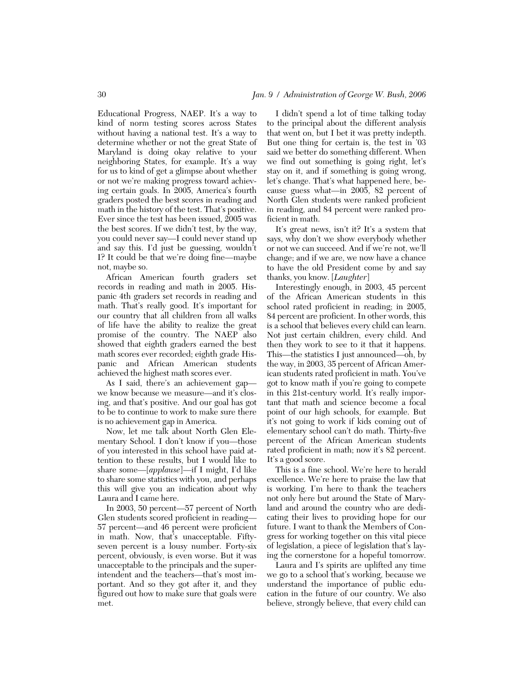Educational Progress, NAEP. It's a way to kind of norm testing scores across States without having a national test. It's a way to determine whether or not the great State of Maryland is doing okay relative to your neighboring States, for example. It's a way for us to kind of get a glimpse about whether or not we're making progress toward achieving certain goals. In 2005, America's fourth graders posted the best scores in reading and math in the history of the test. That's positive. Ever since the test has been issued, 2005 was the best scores. If we didn't test, by the way, you could never say—I could never stand up and say this. I'd just be guessing, wouldn't I? It could be that we're doing fine—maybe not, maybe so.

African American fourth graders set records in reading and math in 2005. Hispanic 4th graders set records in reading and math. That's really good. It's important for our country that all children from all walks of life have the ability to realize the great promise of the country. The NAEP also showed that eighth graders earned the best math scores ever recorded; eighth grade Hispanic and African American students achieved the highest math scores ever.

As I said, there's an achievement gap we know because we measure—and it's closing, and that's positive. And our goal has got to be to continue to work to make sure there is no achievement gap in America.

Now, let me talk about North Glen Elementary School. I don't know if you—those of you interested in this school have paid attention to these results, but I would like to share some—[*applause*]—if I might, I'd like to share some statistics with you, and perhaps this will give you an indication about why Laura and I came here.

In 2003, 50 percent—57 percent of North Glen students scored proficient in reading— 57 percent—and 46 percent were proficient in math. Now, that's unacceptable. Fiftyseven percent is a lousy number. Forty-six percent, obviously, is even worse. But it was unacceptable to the principals and the superintendent and the teachers—that's most important. And so they got after it, and they figured out how to make sure that goals were met.

I didn't spend a lot of time talking today to the principal about the different analysis that went on, but I bet it was pretty indepth. But one thing for certain is, the test in '03 said we better do something different. When we find out something is going right, let's stay on it, and if something is going wrong, let's change. That's what happened here, because guess what—in 2005, 82 percent of North Glen students were ranked proficient in reading, and 84 percent were ranked proficient in math.

It's great news, isn't it? It's a system that says, why don't we show everybody whether or not we can succeed. And if we're not, we'll change; and if we are, we now have a chance to have the old President come by and say thanks, you know. [*Laughter*]

Interestingly enough, in 2003, 45 percent of the African American students in this school rated proficient in reading; in 2005, 84 percent are proficient. In other words, this is a school that believes every child can learn. Not just certain children, every child. And then they work to see to it that it happens. This—the statistics I just announced—oh, by the way, in 2003, 35 percent of African American students rated proficient in math. You've got to know math if you're going to compete in this 21st-century world. It's really important that math and science become a focal point of our high schools, for example. But it's not going to work if kids coming out of elementary school can't do math. Thirty-five percent of the African American students rated proficient in math; now it's 82 percent. It's a good score.

This is a fine school. We're here to herald excellence. We're here to praise the law that is working. I'm here to thank the teachers not only here but around the State of Maryland and around the country who are dedicating their lives to providing hope for our future. I want to thank the Members of Congress for working together on this vital piece of legislation, a piece of legislation that's laying the cornerstone for a hopeful tomorrow.

Laura and I's spirits are uplifted any time we go to a school that's working, because we understand the importance of public education in the future of our country. We also believe, strongly believe, that every child can